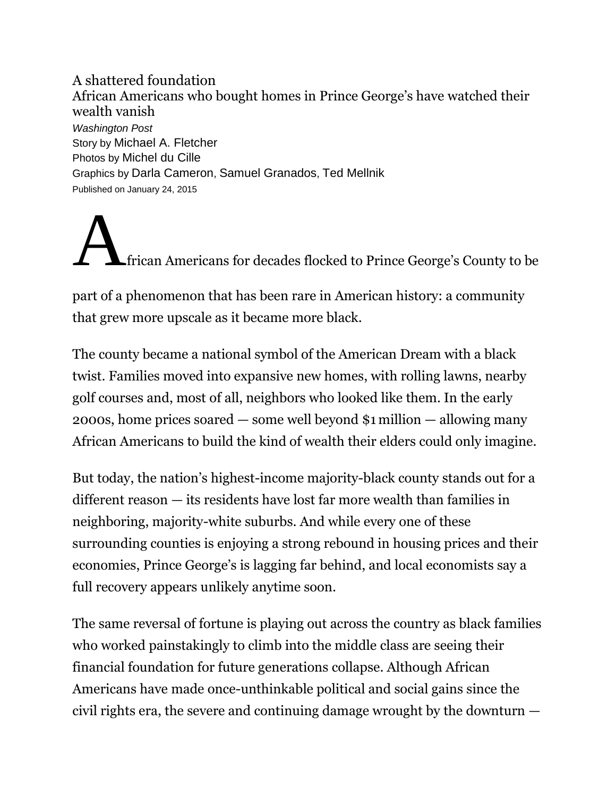#### A shattered foundation

African Americans who bought homes in Prince George's have watched their wealth vanish *Washington Post* Story by [Michael A. Fletcher](http://www.washingtonpost.com/people/michael-a-fletcher) Photos by Michel du Cille Graphics by [Darla Cameron](http://www.washingtonpost.com/people/darla-cameron), Samuel Granados, Ted Mellnik Published on January 24, 2015

African Americans for decades flocked to Prince George's County to be

part of a phenomenon that has been rare in American history: a community that grew more upscale as it became more black.

The county became a national symbol of the American Dream with a black twist. Families moved into expansive new homes, with rolling lawns, nearby golf courses and, most of all, neighbors who looked like them. In the early 2000s, home prices soared — some well beyond \$1 million — allowing many African Americans to build the kind of wealth their elders could only imagine.

But today, the nation's highest-income majority-black county stands out for a different reason — its residents have lost far more wealth than families in neighboring, majority-white suburbs. And while every one of these surrounding counties is enjoying a strong rebound in housing prices and their economies, Prince George's is lagging far behind, and local economists say a full recovery appears unlikely anytime soon.

The same reversal of fortune is playing out across the country as black families who worked painstakingly to climb into the middle class are seeing their financial foundation for future generations collapse. Although African Americans have made once-unthinkable political and social gains since the civil rights era, the severe and continuing damage wrought by the downturn —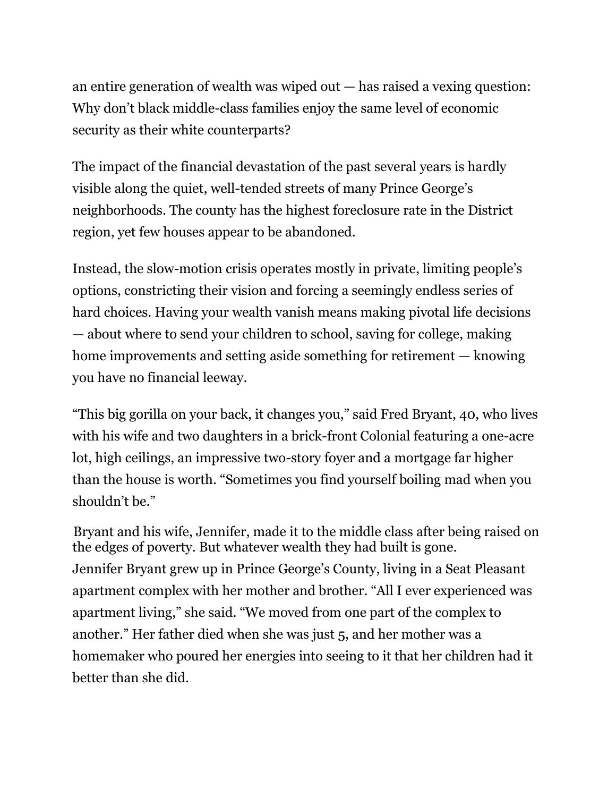an entire generation of wealth was wiped out — has raised a vexing question: Why don't black middle-class families enjoy the same level of economic security as their white counterparts?

The impact of the financial devastation of the past several years is hardly visible along the quiet, well-tended streets of many Prince George's neighborhoods. The county has the highest foreclosure rate in the District region, yet few houses appear to be abandoned.

Instead, the slow-motion crisis operates mostly in private, limiting people's options, constricting their vision and forcing a seemingly endless series of hard choices. Having your wealth vanish means making pivotal life decisions — about where to send your children to school, saving for college, making home improvements and setting aside something for retirement — knowing you have no financial leeway.

"This big gorilla on your back, it changes you," said Fred Bryant, 40, who lives with his wife and two daughters in a brick-front Colonial featuring a one-acre lot, high ceilings, an impressive two-story foyer and a mortgage far higher than the house is worth. "Sometimes you find yourself boiling mad when you shouldn't be."

Bryant and his wife, Jennifer, made it to the middle class after being raised on the edges of poverty. But whatever wealth they had built is gone. Jennifer Bryant grew up in Prince George's County, living in a Seat Pleasant apartment complex with her mother and brother. "All I ever experienced was apartment living," she said. "We moved from one part of the complex to another." Her father died when she was just 5, and her mother was a homemaker who poured her energies into seeing to it that her children had it better than she did.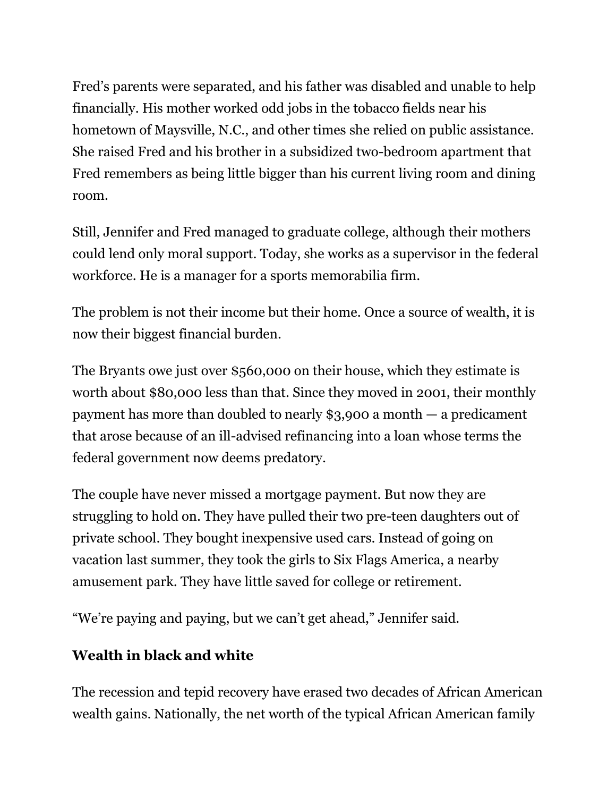Fred's parents were separated, and his father was disabled and unable to help financially. His mother worked odd jobs in the tobacco fields near his hometown of Maysville, N.C., and other times she relied on public assistance. She raised Fred and his brother in a subsidized two-bedroom apartment that Fred remembers as being little bigger than his current living room and dining room.

Still, Jennifer and Fred managed to graduate college, although their mothers could lend only moral support. Today, she works as a supervisor in the federal workforce. He is a manager for a sports memorabilia firm.

The problem is not their income but their home. Once a source of wealth, it is now their biggest financial burden.

The Bryants owe just over \$560,000 on their house, which they estimate is worth about \$80,000 less than that. Since they moved in 2001, their monthly payment has more than doubled to nearly \$3,900 a month — a predicament that arose because of an ill-advised refinancing into a loan whose terms the federal government now deems predatory.

The couple have never missed a mortgage payment. But now they are struggling to hold on. They have pulled their two pre-teen daughters out of private school. They bought inexpensive used cars. Instead of going on vacation last summer, they took the girls to Six Flags America, a nearby amusement park. They have little saved for college or retirement.

"We're paying and paying, but we can't get ahead," Jennifer said.

# **Wealth in black and white**

The recession and tepid recovery have erased two decades of African American wealth gains. Nationally, the net worth of the typical African American family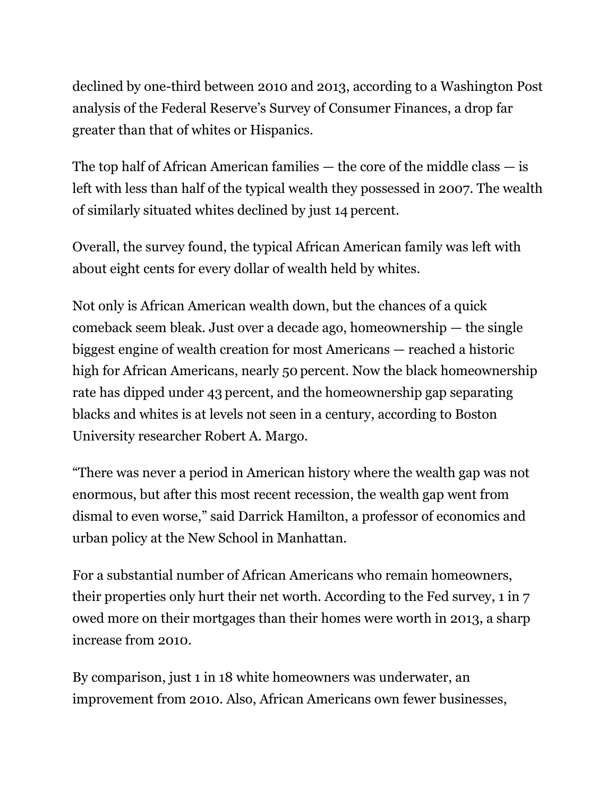declined by one-third between 2010 and 2013, according to a Washington Post analysis of the Federal Reserve's Survey of Consumer Finances, a drop far greater than that of whites or Hispanics.

The top half of African American families  $-$  the core of the middle class  $-$  is left with less than half of the typical wealth they possessed in 2007. The wealth of similarly situated whites declined by just 14 percent.

Overall, the survey found, the typical African American family was left with about eight cents for every dollar of wealth held by whites.

Not only is African American wealth down, but the chances of a quick comeback seem bleak. Just over a decade ago, homeownership — the single biggest engine of wealth creation for most Americans — reached a historic high for African Americans, nearly 50 percent. Now the black homeownership rate has dipped under 43 percent, and the homeownership gap separating blacks and whites is at levels not seen in a century, according to Boston University researcher Robert A. Margo.

"There was never a period in American history where the wealth gap was not enormous, but after this most recent recession, the wealth gap went from dismal to even worse," said Darrick Hamilton, a professor of economics and urban policy at the New School in Manhattan.

For a substantial number of African Americans who remain homeowners, their properties only hurt their net worth. According to the Fed survey, 1 in 7 owed more on their mortgages than their homes were worth in 2013, a sharp increase from 2010.

By comparison, just 1 in 18 white homeowners was underwater, an improvement from 2010. Also, African Americans own fewer businesses,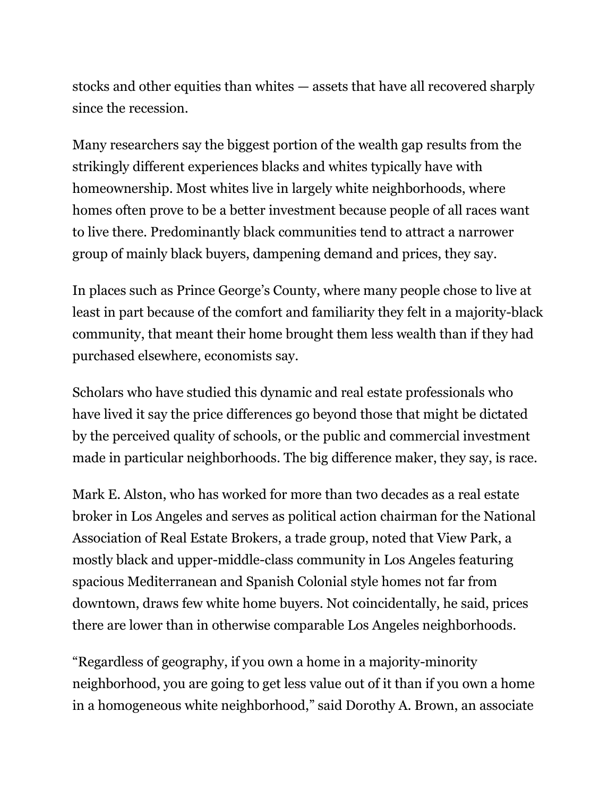stocks and other equities than whites — assets that have all recovered sharply since the recession.

Many researchers say the biggest portion of the wealth gap results from the strikingly different experiences blacks and whites typically have with homeownership. Most whites live in largely white neighborhoods, where homes often prove to be a better investment because people of all races want to live there. Predominantly black communities tend to attract a narrower group of mainly black buyers, dampening demand and prices, they say.

In places such as Prince George's County, where many people chose to live at least in part because of the comfort and familiarity they felt in a majority-black community, that meant their home brought them less wealth than if they had purchased elsewhere, economists say.

Scholars who have studied this dynamic and real estate professionals who have lived it say the price differences go beyond those that might be dictated by the perceived quality of schools, or the public and commercial investment made in particular neighborhoods. The big difference maker, they say, is race.

Mark E. Alston, who has worked for more than two decades as a real estate broker in Los Angeles and serves as political action chairman for the National Association of Real Estate Brokers, a trade group, noted that View Park, a mostly black and upper-middle-class community in Los Angeles featuring spacious Mediterranean and Spanish Colonial style homes not far from downtown, draws few white home buyers. Not coincidentally, he said, prices there are lower than in otherwise comparable Los Angeles neighborhoods.

"Regardless of geography, if you own a home in a majority-minority neighborhood, you are going to get less value out of it than if you own a home in a homogeneous white neighborhood," said Dorothy A. Brown, an associate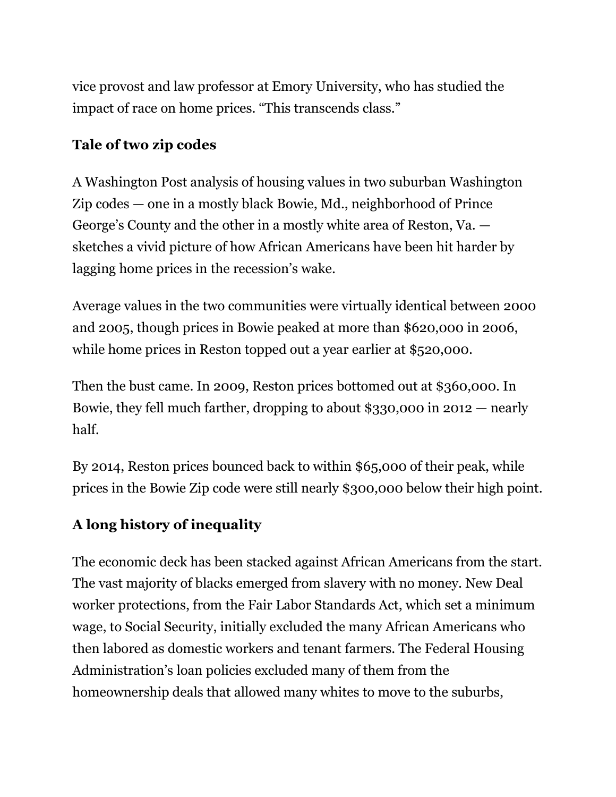vice provost and law professor at Emory University, who has studied the impact of race on home prices. "This transcends class."

### **Tale of two zip codes**

A Washington Post analysis of housing values in two suburban Washington Zip codes — one in a mostly black Bowie, Md., neighborhood of Prince George's County and the other in a mostly white area of Reston, Va. sketches a vivid picture of how African Americans have been hit harder by lagging home prices in the recession's wake.

Average values in the two communities were virtually identical between 2000 and 2005, though prices in Bowie peaked at more than \$620,000 in 2006, while home prices in Reston topped out a year earlier at \$520,000.

Then the bust came. In 2009, Reston prices bottomed out at \$360,000. In Bowie, they fell much farther, dropping to about \$330,000 in 2012 — nearly half.

By 2014, Reston prices bounced back to within \$65,000 of their peak, while prices in the Bowie Zip code were still nearly \$300,000 below their high point.

### **A long history of inequality**

The economic deck has been stacked against African Americans from the start. The vast majority of blacks emerged from slavery with no money. New Deal worker protections, from the Fair Labor Standards Act, which set a minimum wage, to Social Security, initially excluded the many African Americans who then labored as domestic workers and tenant farmers. The Federal Housing Administration's loan policies excluded many of them from the homeownership deals that allowed many whites to move to the suburbs,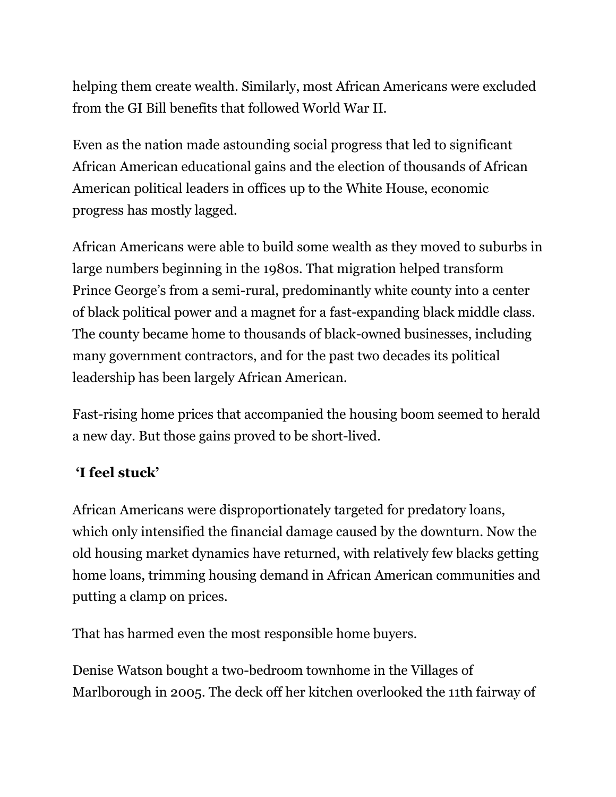helping them create wealth. Similarly, most African Americans were excluded from the GI Bill benefits that followed World War II.

Even as the nation made astounding social progress that led to significant African American educational gains and the election of thousands of African American political leaders in offices up to the White House, economic progress has mostly lagged.

African Americans were able to build some wealth as they moved to suburbs in large numbers beginning in the 1980s. That migration helped transform Prince George's from a semi-rural, predominantly white county into a center of black political power and a magnet for a fast-expanding black middle class. The county became home to thousands of black-owned businesses, including many government contractors, and for the past two decades its political leadership has been largely African American.

Fast-rising home prices that accompanied the housing boom seemed to herald a new day. But those gains proved to be short-lived.

# **'I feel stuck'**

African Americans were disproportionately targeted for predatory loans, which only intensified the financial damage caused by the downturn. Now the old housing market dynamics have returned, with relatively few blacks getting home loans, trimming housing demand in African American communities and putting a clamp on prices.

That has harmed even the most responsible home buyers.

Denise Watson bought a two-bedroom townhome in the Villages of Marlborough in 2005. The deck off her kitchen overlooked the 11th fairway of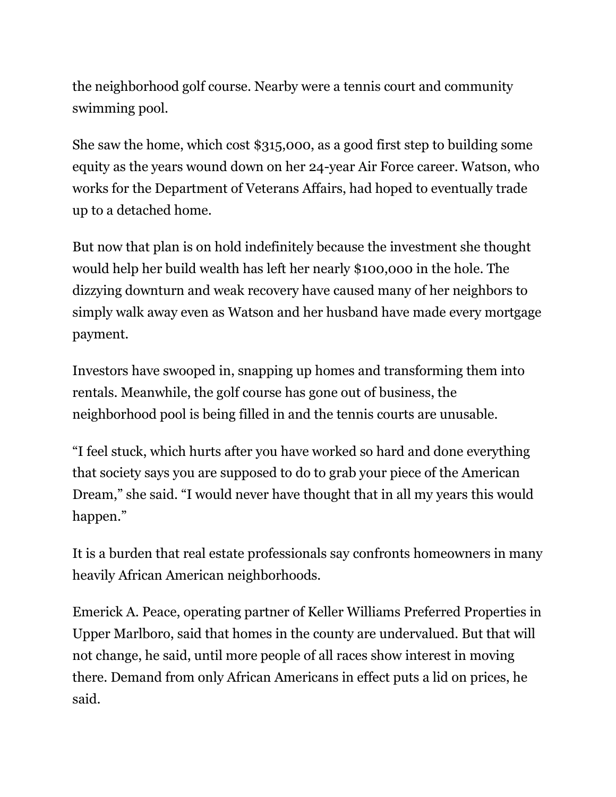the neighborhood golf course. Nearby were a tennis court and community swimming pool.

She saw the home, which cost \$315,000, as a good first step to building some equity as the years wound down on her 24-year Air Force career. Watson, who works for the Department of Veterans Affairs, had hoped to eventually trade up to a detached home.

But now that plan is on hold indefinitely because the investment she thought would help her build wealth has left her nearly \$100,000 in the hole. The dizzying downturn and weak recovery have caused many of her neighbors to simply walk away even as Watson and her husband have made every mortgage payment.

Investors have swooped in, snapping up homes and transforming them into rentals. Meanwhile, the golf course has gone out of business, the neighborhood pool is being filled in and the tennis courts are unusable.

"I feel stuck, which hurts after you have worked so hard and done everything that society says you are supposed to do to grab your piece of the American Dream," she said. "I would never have thought that in all my years this would happen."

It is a burden that real estate professionals say confronts homeowners in many heavily African American neighborhoods.

Emerick A. Peace, operating partner of Keller Williams Preferred Properties in Upper Marlboro, said that homes in the county are undervalued. But that will not change, he said, until more people of all races show interest in moving there. Demand from only African Americans in effect puts a lid on prices, he said.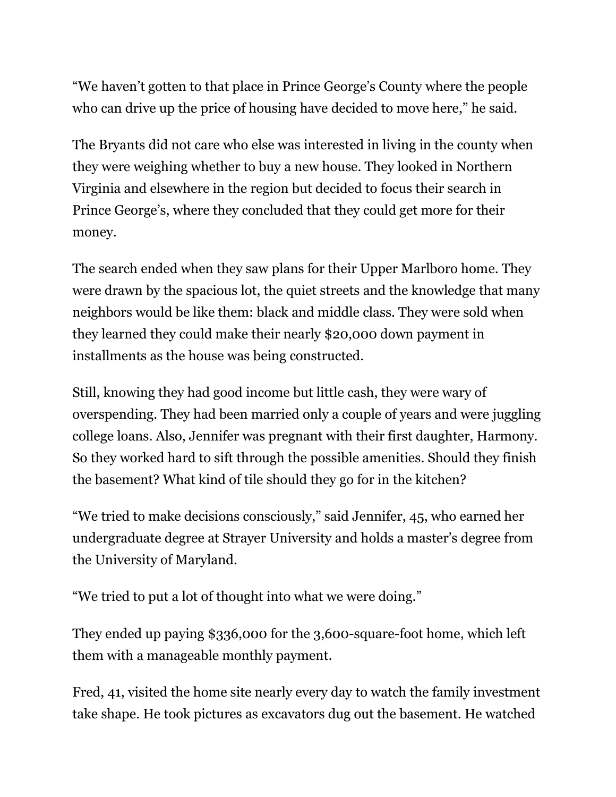"We haven't gotten to that place in Prince George's County where the people who can drive up the price of housing have decided to move here," he said.

The Bryants did not care who else was interested in living in the county when they were weighing whether to buy a new house. They looked in Northern Virginia and elsewhere in the region but decided to focus their search in Prince George's, where they concluded that they could get more for their money.

The search ended when they saw plans for their Upper Marlboro home. They were drawn by the spacious lot, the quiet streets and the knowledge that many neighbors would be like them: black and middle class. They were sold when they learned they could make their nearly \$20,000 down payment in installments as the house was being constructed.

Still, knowing they had good income but little cash, they were wary of overspending. They had been married only a couple of years and were juggling college loans. Also, Jennifer was pregnant with their first daughter, Harmony. So they worked hard to sift through the possible amenities. Should they finish the basement? What kind of tile should they go for in the kitchen?

"We tried to make decisions consciously," said Jennifer, 45, who earned her undergraduate degree at Strayer University and holds a master's degree from the University of Maryland.

"We tried to put a lot of thought into what we were doing."

They ended up paying \$336,000 for the 3,600-square-foot home, which left them with a manageable monthly payment.

Fred, 41, visited the home site nearly every day to watch the family investment take shape. He took pictures as excavators dug out the basement. He watched